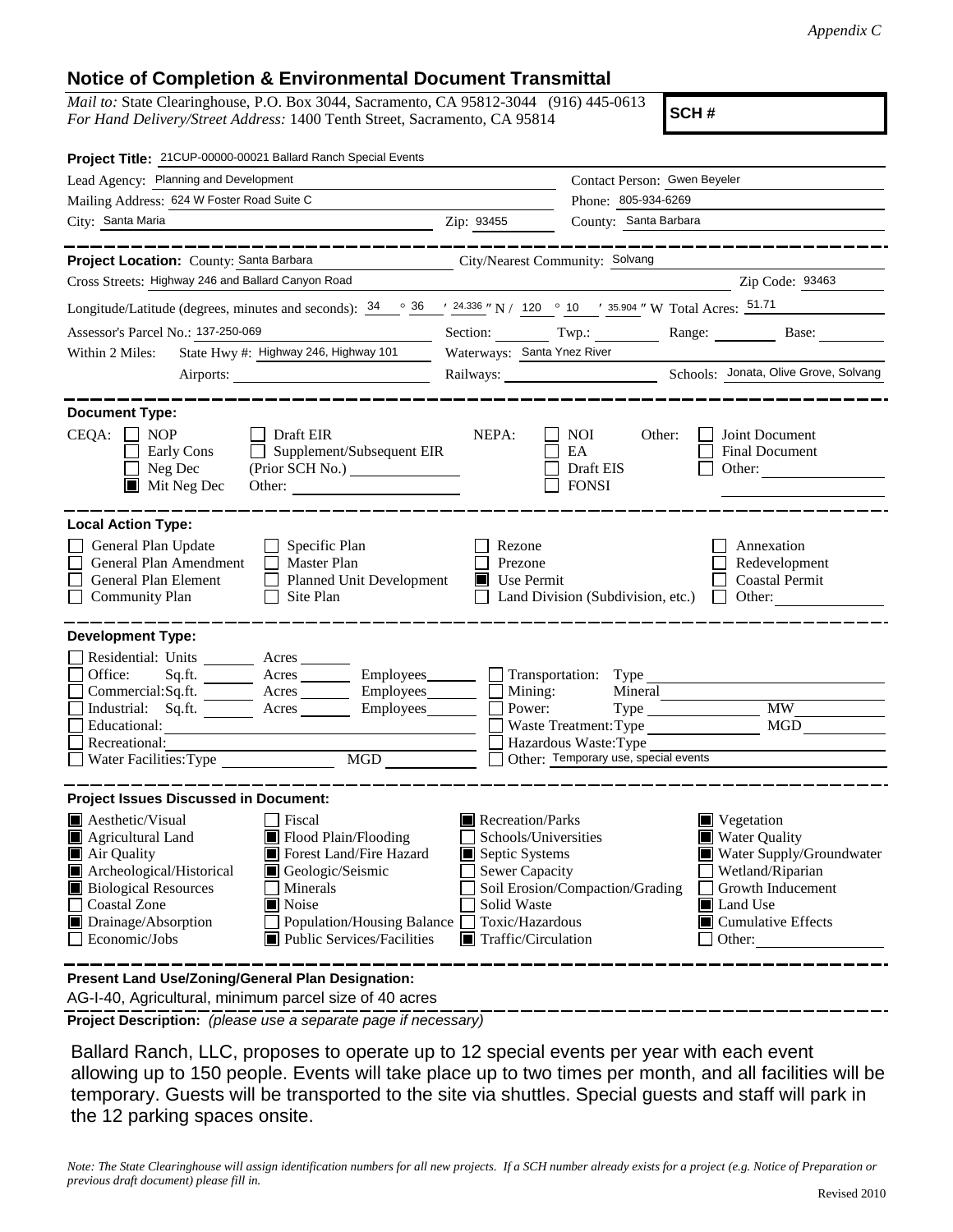## **Notice of Completion & Environmental Document Transmittal**

*Mail to:* State Clearinghouse, P.O. Box 3044, Sacramento, CA 95812-3044 (916) 445-0613 *For Hand Delivery/Street Address:* 1400 Tenth Street, Sacramento, CA 95814

**SCH #**

| Project Title: 21CUP-00000-00021 Ballard Ranch Special Events                                                                                                                                                                                                                                                                                                            |                                                                                                                                             |                                                                                                                        |                                                                                                                                                                                   |
|--------------------------------------------------------------------------------------------------------------------------------------------------------------------------------------------------------------------------------------------------------------------------------------------------------------------------------------------------------------------------|---------------------------------------------------------------------------------------------------------------------------------------------|------------------------------------------------------------------------------------------------------------------------|-----------------------------------------------------------------------------------------------------------------------------------------------------------------------------------|
| Lead Agency: Planning and Development                                                                                                                                                                                                                                                                                                                                    |                                                                                                                                             | Contact Person: Gwen Beyeler                                                                                           |                                                                                                                                                                                   |
| Mailing Address: 624 W Foster Road Suite C                                                                                                                                                                                                                                                                                                                               |                                                                                                                                             | Phone: 805-934-6269                                                                                                    |                                                                                                                                                                                   |
| City: Santa Maria                                                                                                                                                                                                                                                                                                                                                        | Zip: 93455                                                                                                                                  | County: Santa Barbara                                                                                                  |                                                                                                                                                                                   |
|                                                                                                                                                                                                                                                                                                                                                                          |                                                                                                                                             |                                                                                                                        |                                                                                                                                                                                   |
| Project Location: County: Santa Barbara                                                                                                                                                                                                                                                                                                                                  | City/Nearest Community: Solvang                                                                                                             |                                                                                                                        |                                                                                                                                                                                   |
| Cross Streets: Highway 246 and Ballard Canyon Road                                                                                                                                                                                                                                                                                                                       |                                                                                                                                             |                                                                                                                        | Zip Code: 93463                                                                                                                                                                   |
| Longitude/Latitude (degrees, minutes and seconds): $\frac{34}{9}$ $\frac{36}{9}$ $\frac{1}{24.336}$ "N / 120 $\degree$ 10 $\degree$ 35.904 " W Total Acres: $\frac{51.71}{24.336}$                                                                                                                                                                                       |                                                                                                                                             |                                                                                                                        |                                                                                                                                                                                   |
| Assessor's Parcel No.: 137-250-069                                                                                                                                                                                                                                                                                                                                       |                                                                                                                                             | Section: Twp.:                                                                                                         | Range: Base:                                                                                                                                                                      |
| State Hwy #: Highway 246, Highway 101<br>Within 2 Miles:                                                                                                                                                                                                                                                                                                                 | Waterways: Santa Ynez River                                                                                                                 |                                                                                                                        |                                                                                                                                                                                   |
| Airports:                                                                                                                                                                                                                                                                                                                                                                |                                                                                                                                             |                                                                                                                        |                                                                                                                                                                                   |
| <b>Document Type:</b><br>$CEQA: \Box NP$<br>$\Box$ Draft EIR<br>Supplement/Subsequent EIR<br>Early Cons<br>$\Box$ Neg Dec<br>(Prior SCH No.)<br>$\blacksquare$ Mit Neg Dec<br>Other:                                                                                                                                                                                     | NEPA:                                                                                                                                       | NOI<br>Other:<br>EA<br>Draft EIS<br><b>FONSI</b>                                                                       | Joint Document<br><b>Final Document</b><br>Other:                                                                                                                                 |
| <b>Local Action Type:</b><br>General Plan Update<br>$\Box$ Specific Plan<br>General Plan Amendment<br>$\Box$ Master Plan<br>General Plan Element<br>Planned Unit Development<br><b>Community Plan</b><br>Site Plan<br>$\perp$                                                                                                                                            | Rezone<br>Prezone<br>$\blacksquare$ Use Permit                                                                                              | Land Division (Subdivision, etc.) $\Box$                                                                               | Annexation<br>Redevelopment<br><b>Coastal Permit</b><br>Other:                                                                                                                    |
| <b>Development Type:</b>                                                                                                                                                                                                                                                                                                                                                 |                                                                                                                                             |                                                                                                                        |                                                                                                                                                                                   |
| Residential: Units ________ Acres _______<br>Office:<br>Sq.ft. ________ Acres __________ Employees ________ __ Transportation: Type _____<br>Commercial:Sq.ft. _______ Acres _______ Employees_______ $\Box$<br>Industrial: Sq.ft. _______ Acres ________ Employees _______ __<br>Educational:<br>Recreational:<br>MGD<br>Water Facilities: Type                         |                                                                                                                                             | Mineral<br>Mining:<br>Power:<br>Waste Treatment: Type<br>Hazardous Waste: Type<br>Other: Temporary use, special events | <b>MW</b><br><b>MGD</b>                                                                                                                                                           |
| <b>Project Issues Discussed in Document:</b>                                                                                                                                                                                                                                                                                                                             |                                                                                                                                             |                                                                                                                        |                                                                                                                                                                                   |
| $\blacksquare$ Aesthetic/Visual<br>Fiscal<br>Flood Plain/Flooding<br>Agricultural Land<br>Air Quality<br>Forest Land/Fire Hazard<br>Archeological/Historical<br>Geologic/Seismic<br><b>Biological Resources</b><br>Minerals<br><b>Coastal Zone</b><br><b>■</b> Noise<br>Drainage/Absorption<br>Population/Housing Balance<br>Public Services/Facilities<br>Economic/Jobs | $\blacksquare$ Recreation/Parks<br>Septic Systems<br>Sewer Capacity<br>Solid Waste<br>Toxic/Hazardous<br>$\blacksquare$ Traffic/Circulation | Schools/Universities<br>Soil Erosion/Compaction/Grading                                                                | $\blacksquare$ Vegetation<br><b>Water Quality</b><br>Water Supply/Groundwater<br>Wetland/Riparian<br>Growth Inducement<br>Land Use<br>$\blacksquare$ Cumulative Effects<br>Other: |
| resent Land HealZening Concret Dian Decimentant                                                                                                                                                                                                                                                                                                                          |                                                                                                                                             |                                                                                                                        |                                                                                                                                                                                   |

 AG-I-40, Agricultural, minimum parcel size of 40 acres **Present Land Use/Zoning/General Plan Designation:**

**Project Description:** *(please use a separate page if necessary)*

 Ballard Ranch, LLC, proposes to operate up to 12 special events per year with each event allowing up to 150 people. Events will take place up to two times per month, and all facilities will be temporary. Guests will be transported to the site via shuttles. Special guests and staff will park in the 12 parking spaces onsite.

*Note: The State Clearinghouse will assign identification numbers for all new projects. If a SCH number already exists for a project (e.g. Notice of Preparation or previous draft document) please fill in.*